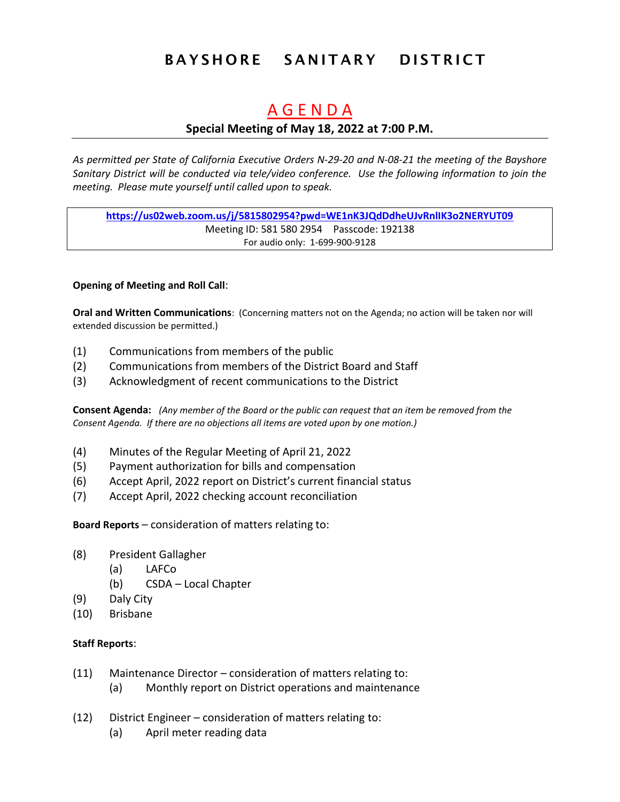# **BAYSHORE SANITARY DISTRICT**

# A G E N D A

## **Special Meeting of May 18, 2022 at 7:00 P.M.**

*As permitted per State of California Executive Orders N-29-20 and N-08-21 the meeting of the Bayshore Sanitary District will be conducted via tele/video conference. Use the following information to join the meeting. Please mute yourself until called upon to speak.*

**https://us02web.zoom.us/j/5815802954?pwd=WE1nK3JQdDdheUJvRnlIK3o2NERYUT09** Meeting ID: 581 580 2954 Passcode: 192138 For audio only: 1-699-900-9128

### **Opening of Meeting and Roll Call**:

**Oral and Written Communications**: (Concerning matters not on the Agenda; no action will be taken nor will extended discussion be permitted.)

- (1) Communications from members of the public
- (2) Communications from members of the District Board and Staff
- (3) Acknowledgment of recent communications to the District

**Consent Agenda:** *(Any member of the Board or the public can request that an item be removed from the Consent Agenda. If there are no objections all items are voted upon by one motion.)*

- (4) Minutes of the Regular Meeting of April 21, 2022
- (5) Payment authorization for bills and compensation
- (6) Accept April, 2022 report on District's current financial status
- (7) Accept April, 2022 checking account reconciliation

**Board Reports** – consideration of matters relating to:

- (8) President Gallagher
	- (a) LAFCo
	- (b) CSDA Local Chapter
- (9) Daly City
- (10) Brisbane

### **Staff Reports**:

- (11) Maintenance Director consideration of matters relating to:
	- (a) Monthly report on District operations and maintenance
- (12) District Engineer consideration of matters relating to:
	- (a) April meter reading data